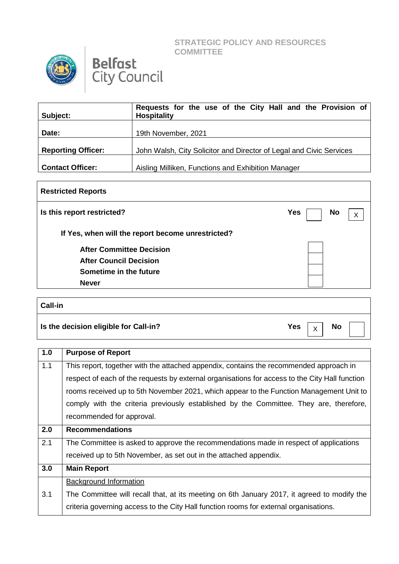**STRATEGIC POLICY AND RESOURCES COMMITTEE**





| Subject:                  | Requests for the use of the City Hall and the Provision of<br><b>Hospitality</b> |
|---------------------------|----------------------------------------------------------------------------------|
| Date:                     | 19th November, 2021                                                              |
| <b>Reporting Officer:</b> | John Walsh, City Solicitor and Director of Legal and Civic Services              |
| <b>Contact Officer:</b>   | Aisling Milliken, Functions and Exhibition Manager                               |

| <b>Restricted Reports</b>                         |                         |
|---------------------------------------------------|-------------------------|
| Is this report restricted?                        | <b>Yes</b><br><b>No</b> |
| If Yes, when will the report become unrestricted? |                         |
| <b>After Committee Decision</b>                   |                         |
| <b>After Council Decision</b>                     |                         |
| Sometime in the future                            |                         |
| <b>Never</b>                                      |                         |
|                                                   |                         |

## **Call-in Is the decision eligible for Call-in?** The set of the set of the set of the set of the set of the set of the set of the set of the set of the set of the set of the set of the set of the set of the set of the set of the s X

| 1.0 | <b>Purpose of Report</b>                                                                       |
|-----|------------------------------------------------------------------------------------------------|
| 1.1 | This report, together with the attached appendix, contains the recommended approach in         |
|     | respect of each of the requests by external organisations for access to the City Hall function |
|     | rooms received up to 5th November 2021, which appear to the Function Management Unit to        |
|     | comply with the criteria previously established by the Committee. They are, therefore,         |
|     | recommended for approval.                                                                      |
| 2.0 | <b>Recommendations</b>                                                                         |
| 2.1 | The Committee is asked to approve the recommendations made in respect of applications          |
|     | received up to 5th November, as set out in the attached appendix.                              |
| 3.0 | <b>Main Report</b>                                                                             |
|     | Background Information                                                                         |
| 3.1 | The Committee will recall that, at its meeting on 6th January 2017, it agreed to modify the    |
|     | criteria governing access to the City Hall function rooms for external organisations.          |